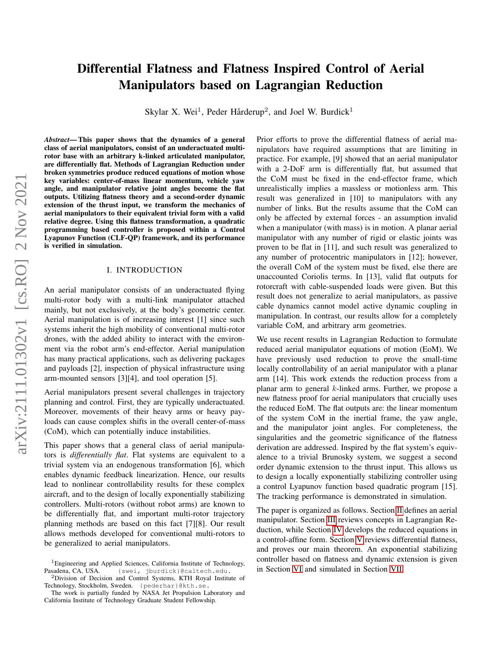# Differential Flatness and Flatness Inspired Control of Aerial Manipulators based on Lagrangian Reduction

Skylar X. Wei<sup>1</sup>, Peder Hårderup<sup>2</sup>, and Joel W. Burdick<sup>1</sup>

*Abstract*— This paper shows that the dynamics of a general class of aerial manipulators, consist of an underactuated multirotor base with an arbitrary k-linked articulated manipulator, are differentially flat. Methods of Lagrangian Reduction under broken symmetries produce reduced equations of motion whose key variables: center-of-mass linear momentum, vehicle yaw angle, and manipulator relative joint angles become the flat outputs. Utilizing flatness theory and a second-order dynamic extension of the thrust input, we transform the mechanics of aerial manipulators to their equivalent trivial form with a valid relative degree. Using this flatness transformation, a quadratic programming based controller is proposed within a Control Lyapunov Function (CLF-QP) framework, and its performance is verified in simulation.

# I. INTRODUCTION

An aerial manipulator consists of an underactuated flying multi-rotor body with a multi-link manipulator attached mainly, but not exclusively, at the body's geometric center. Aerial manipulation is of increasing interest [1] since such systems inherit the high mobility of conventional multi-rotor drones, with the added ability to interact with the environment via the robot arm's end-effector. Aerial manipulation has many practical applications, such as delivering packages and payloads [2], inspection of physical infrastructure using arm-mounted sensors [3][4], and tool operation [5].

Aerial manipulators present several challenges in trajectory planning and control. First, they are typically underactuated. Moreover, movements of their heavy arms or heavy payloads can cause complex shifts in the overall center-of-mass (CoM), which can potentially induce instabilities.

This paper shows that a general class of aerial manipulators is *differentially flat*. Flat systems are equivalent to a trivial system via an endogenous transformation [6], which enables dynamic feedback linearization. Hence, our results lead to nonlinear controllability results for these complex aircraft, and to the design of locally exponentially stabilizing controllers. Multi-rotors (without robot arms) are known to be differentially flat, and important multi-rotor trajectory planning methods are based on this fact [7][8]. Our result allows methods developed for conventional multi-rotors to be generalized to aerial manipulators.

Prior efforts to prove the differential flatness of aerial manipulators have required assumptions that are limiting in practice. For example, [9] showed that an aerial manipulator with a 2-DoF arm is differentially flat, but assumed that the CoM must be fixed in the end-effector frame, which unrealistically implies a massless or motionless arm. This result was generalized in [10] to manipulators with any number of links. But the results assume that the CoM can only be affected by external forces - an assumption invalid when a manipulator (with mass) is in motion. A planar aerial manipulator with any number of rigid or elastic joints was proven to be flat in [11], and such result was generalized to any number of protocentric manipulators in [12]; however, the overall CoM of the system must be fixed, else there are unaccounted Coriolis terms. In [13], valid flat outputs for rotorcraft with cable-suspended loads were given. But this result does not generalize to aerial manipulators, as passive cable dynamics cannot model active dynamic coupling in manipulation. In contrast, our results allow for a completely variable CoM, and arbitrary arm geometries.

We use recent results in Lagrangian Reduction to formulate reduced aerial manipulator equations of motion (EoM). We have previously used reduction to prove the small-time locally controllability of an aerial manipulator with a planar arm [14]. This work extends the reduction process from a planar arm to general  $k$ -linked arms. Further, we propose a new flatness proof for aerial manipulators that crucially uses the reduced EoM. The flat outputs are: the linear momentum of the system CoM in the inertial frame, the yaw angle, and the manipulator joint angles. For completeness, the singularities and the geometric significance of the flatness derivation are addressed. Inspired by the flat system's equivalence to a trivial Brunosky system, we suggest a second order dynamic extension to the thrust input. This allows us to design a locally exponentially stabilizing controller using a control Lyapunov function based quadratic program [15]. The tracking performance is demonstrated in simulation.

The paper is organized as follows. Section [II](#page-1-0) defines an aerial manipulator. Section [III](#page-1-1) reviews concepts in Lagrangian Reduction, while Section [IV](#page-2-0) develops the reduced equations in a control-affine form. Section [V](#page-3-0) reviews differential flatness, and proves our main theorem. An exponential stabilizing controller based on flatness and dynamic extension is given in Section [VI](#page-5-0) and simulated in Section [VII.](#page-6-0)

<sup>&</sup>lt;sup>1</sup>Engineering and Applied Sciences, California Institute of Technology, Pasadena, CA, USA. {swei, jburdick}@caltech.edu.

<sup>2</sup>Division of Decision and Control Systems, KTH Royal Institute of Technology, Stockholm, Sweden. {pederhar}@kth.se.

The work is partially funded by NASA Jet Propulsion Laboratory and California Institute of Technology Graduate Student Fellowship.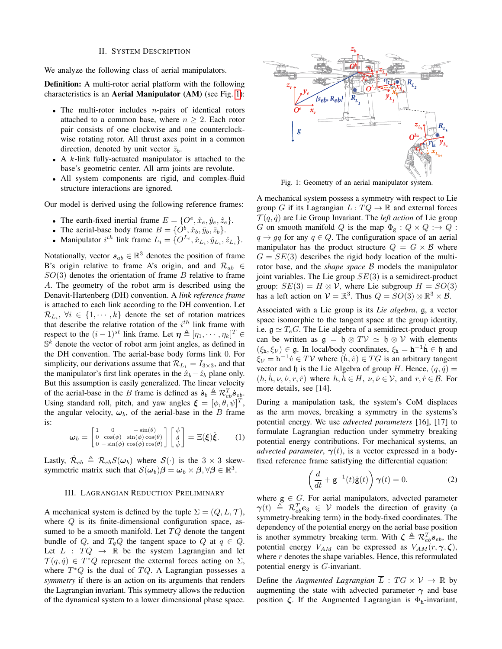#### II. SYSTEM DESCRIPTION

<span id="page-1-0"></span>We analyze the following class of aerial manipulators.

Definition: A multi-rotor aerial platform with the following characteristics is an Aerial Manipulator (AM) (see Fig. [1\)](#page-1-2):

- The multi-rotor includes  $n$ -pairs of identical rotors attached to a common base, where  $n \geq 2$ . Each rotor pair consists of one clockwise and one counterclockwise rotating rotor. All thrust axes point in a common direction, denoted by unit vector  $\hat{z}_b$ .
- A  $k$ -link fully-actuated manipulator is attached to the base's geometric center. All arm joints are revolute.
- All system components are rigid, and complex-fluid structure interactions are ignored.

Our model is derived using the following reference frames:

- The earth-fixed inertial frame  $E = \{O^e, \hat{x}_e, \hat{y}_e, \hat{z}_e\}.$
- The aerial-base body frame  $B = \{O^b, \hat{x}_b, \hat{y}_b, \hat{z}_b\}.$
- Manipulator  $i^{th}$  link frame  $L_i = \{O^{L_i}, \hat{x}_{L_i}, \hat{y}_{L_i}, \hat{z}_{L_i}\}.$

Notationally, vector  $s_{ab} \in \mathbb{R}^3$  denotes the position of frame B's origin relative to frame A's origin, and and  $\mathcal{R}_{ab}$  ∈  $SO(3)$  denotes the orientation of frame B relative to frame A. The geometry of the robot arm is described using the Denavit-Hartenberg (DH) convention. A *link reference frame* is attached to each link according to the DH convention. Let  $\mathcal{R}_{L_i}, \ \forall i \in \{1, \cdots, k\}$  denote the set of rotation matrices that describe the relative rotation of the  $i^{th}$  link frame with respect to the  $(i-1)^{st}$  link frame. Let  $\boldsymbol{\eta} \triangleq [\eta_1, \cdots, \eta_k]^T \in$  $\mathbb{S}^k$  denote the vector of robot arm joint angles, as defined in the DH convention. The aerial-base body forms link 0. For simplicity, our derivations assume that  $\mathcal{R}_{L_1} = I_{3 \times 3}$ , and that the manipulator's first link operates in the  $\hat{x}_b-\hat{z}_b$  plane only. But this assumption is easily generalized. The linear velocity of the aerial-base in the B frame is defined as  $\dot{s}_b \triangleq \mathcal{R}_{eb}^T \dot{s}_{eb}$ . Using standard roll, pitch, and yaw angles  $\boldsymbol{\xi} = [\phi, \theta, \psi]^T$ , the angular velocity,  $\omega_b$ , of the aerial-base in the B frame is:

<span id="page-1-3"></span>
$$
\boldsymbol{\omega}_b = \begin{bmatrix} 1 & 0 & -\sin(\theta) \\ 0 & \cos(\phi) & \sin(\phi)\cos(\theta) \\ 0 & -\sin(\phi) & \cos(\phi)\cos(\theta) \end{bmatrix} \begin{bmatrix} \dot{\phi} \\ \dot{\theta} \\ \dot{\psi} \end{bmatrix} = \Xi(\boldsymbol{\xi})\dot{\boldsymbol{\xi}}.
$$
 (1)

Lastly,  $\dot{\mathcal{R}}_{eb} \triangleq \mathcal{R}_{eb} S(\omega_b)$  where  $\mathcal{S}(\cdot)$  is the  $3 \times 3$  skewsymmetric matrix such that  $\mathcal{S}(\omega_b)\beta = \omega_b \times \beta, \forall \beta \in \mathbb{R}^3$ .

## <span id="page-1-1"></span>III. LAGRANGIAN REDUCTION PRELIMINARY

A mechanical system is defined by the tuple  $\Sigma = (Q, L, \mathcal{T}),$ where  $Q$  is its finite-dimensional configuration space, assumed to be a smooth manifold. Let  $TQ$  denote the tangent bundle of Q, and  $T_qQ$  the tangent space to Q at  $q \in Q$ . Let  $L : TQ \rightarrow \mathbb{R}$  be the system Lagrangian and let  $\mathcal{T}(q, \dot{q}) \in T^*Q$  represent the external forces acting on  $\Sigma$ , where  $T^*Q$  is the dual of  $TQ$ . A Lagrangian possesses a *symmetry* if there is an action on its arguments that renders the Lagrangian invariant. This symmetry allows the reduction of the dynamical system to a lower dimensional phase space.

<span id="page-1-2"></span>

Fig. 1: Geometry of an aerial manipulator system.

A mechanical system possess a symmetry with respect to Lie group G if its Lagrangian  $L: TQ \to \mathbb{R}$  and external forces  $\mathcal{T}(q, \dot{q})$  are Lie Group Invariant. The *left action* of Lie group G on smooth manifold Q is the map  $\Phi_{\mathbf{g}} : Q \times Q \longrightarrow Q$ :  $q \rightarrow gq$  for any  $q \in Q$ . The configuration space of an aerial manipulator has the product structure  $Q = G \times B$  where  $G = SE(3)$  describes the rigid body location of the multirotor base, and the *shape space* B models the manipulator joint variables. The Lie group  $SE(3)$  is a semidirect-product group:  $SE(3) = H \otimes V$ , where Lie subgroup  $H = SO(3)$ has a left action on  $V = \mathbb{R}^3$ . Thus  $Q = SO(3) \otimes \mathbb{R}^3 \times \mathcal{B}$ .

Associated with a Lie group is its *Lie algebra*, g, a vector space isomorphic to the tangent space at the group identity, i.e.  $\mathfrak{g} \simeq T_eG$ . The Lie algebra of a semidirect-product group can be written as  $\mathfrak{g} = \mathfrak{h} \otimes T\mathcal{V} \simeq \mathfrak{h} \otimes \mathcal{V}$  with elements  $(\xi_h, \xi_V) \in \mathfrak{g}$ . In local/body coordinates,  $\xi_h = h^{-1} \dot{h} \in \mathfrak{h}$  and  $\xi_{\mathcal{V}} = h^{-1} \dot{v} \in T\mathcal{V}$  where  $(h, \dot{v}) \in TG$  is an arbitrary tangent vector and h is the Lie Algebra of group H. Hence,  $(q, \dot{q}) =$  $(h, h, \nu, \dot{\nu}, r, \dot{r})$  where  $h, h \in H$ ,  $\nu, \dot{\nu} \in V$ , and  $r, \dot{r} \in \mathcal{B}$ . For more details, see [14].

During a manipulation task, the system's CoM displaces as the arm moves, breaking a symmetry in the systems's potential energy. We use *advected parameters* [16], [17] to formulate Lagrangian reduction under symmetry breaking potential energy contributions. For mechanical systems, an *advected parameter*,  $\gamma(t)$ , is a vector expressed in a bodyfixed reference frame satisfying the differential equation:

$$
\left(\frac{d}{dt} + \mathbf{g}^{-1}(t)\dot{\mathbf{g}}(t)\right)\gamma(t) = 0.
$$
 (2)

where  $g \in G$ . For aerial manipulators, advected parameter  $\gamma(t) \triangleq \mathcal{R}_{eb}^T \mathbf{e}_3 \in \mathcal{V}$  models the direction of gravity (a symmetry-breaking term) in the body-fixed coordinates. The dependency of the potential energy on the aerial base position is another symmetry breaking term. With  $\zeta \triangleq \mathcal{R}_{eb}^T \mathcal{S}_{eb}$ , the potential energy  $V_{AM}$  can be expressed as  $V_{AM}(r, \gamma, \zeta)$ , where  $r$  denotes the shape variables. Hence, this reformulated potential energy is G-invariant.

Define the *Augmented Lagrangian*  $\overline{L}$  :  $TG \times V \rightarrow \mathbb{R}$  by augmenting the state with advected parameter  $\gamma$  and base position  $\zeta$ . If the Augmented Lagrangian is  $\Phi_h$ -invariant,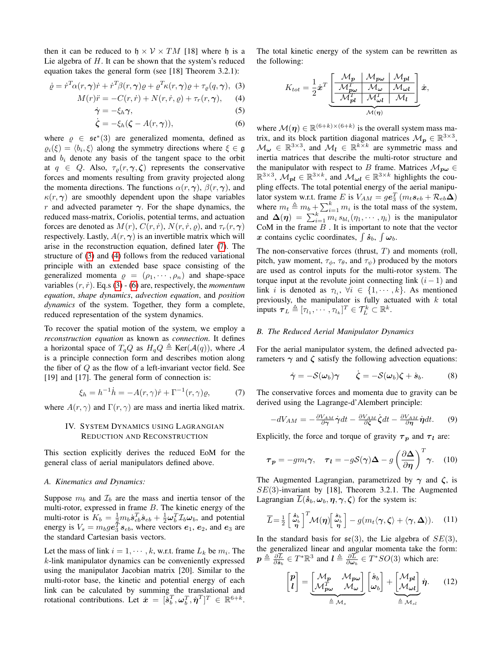then it can be reduced to  $h \times V \times TM$  [18] where h is a Lie algebra of  $H$ . It can be shown that the system's reduced equation takes the general form (see [18] Theorem 3.2.1):

$$
\dot{\varrho} = \dot{r}^T \alpha(r, \gamma) \dot{r} + \dot{r}^T \beta(r, \gamma) \varrho + \varrho^T \kappa(r, \gamma) \varrho + \tau_\varrho(q, \gamma), \tag{3}
$$

$$
M(r)\ddot{r} = -C(r,\dot{r}) + N(r,\dot{r},\varrho) + \tau_r(r,\gamma), \qquad (4)
$$

$$
\dot{\gamma} = -\xi_h \gamma,\tag{5}
$$

$$
\dot{\zeta} = -\xi_h(\zeta - A(r,\gamma)),\tag{6}
$$

where  $\rho \in \mathfrak{se}^*(3)$  are generalized momenta, defined as  $\varrho_i(\xi) = \langle b_i, \xi \rangle$  along the symmetry directions where  $\xi \in \mathfrak{g}$ and  $b_i$  denote any basis of the tangent space to the orbit at  $q \in Q$ . Also,  $\tau_{\rho}(r, \gamma, \zeta)$  represents the conservative forces and moments resulting from gravity projected along the momenta directions. The functions  $\alpha(r, \gamma)$ ,  $\beta(r, \gamma)$ , and  $\kappa(r, \gamma)$  are smoothly dependent upon the shape variables r and advected parameter  $\gamma$ . For the shape dynamics, the reduced mass-matrix, Coriolis, potential terms, and actuation forces are denoted as  $M(r)$ ,  $C(r, \dot{r})$ ,  $N(r, \dot{r}, \rho)$ , and  $\tau_r(r, \gamma)$ respectively. Lastly,  $A(r, \gamma)$  is an invertible matrix which will arise in the reconstruction equation, defined later [\(7\)](#page-2-1). The structure of [\(3\)](#page-2-2) and [\(4\)](#page-2-3) follows from the reduced variational principle with an extended base space consisting of the generalized momenta  $\rho = (\rho_1, \dots, \rho_n)$  and shape-space variables  $(r, \dot{r})$ . Eq.s [\(3\)](#page-2-2) - [\(6\)](#page-2-4) are, respectively, the *momentum equation*, *shape dynamics*, *advection equation*, and *position dynamics* of the system. Together, they form a complete, reduced representation of the system dynamics.

To recover the spatial motion of the system, we employ a *reconstruction equation* as known as *connection*. It defines a horizontal space of  $T_qQ$  as  $H_qQ \triangleq \text{Ker}(\mathcal{A}(q))$ , where A is a principle connection form and describes motion along the fiber of  $Q$  as the flow of a left-invariant vector field. See [19] and [17]. The general form of connection is:

<span id="page-2-1"></span>
$$
\xi_h = h^{-1}\dot{h} = -A(r,\gamma)\dot{r} + \Gamma^{-1}(r,\gamma)\varrho,\tag{7}
$$

<span id="page-2-0"></span>where  $A(r, \gamma)$  and  $\Gamma(r, \gamma)$  are mass and inertia liked matrix.

# IV. SYSTEM DYNAMICS USING LAGRANGIAN REDUCTION AND RECONSTRUCTION

This section explicitly derives the reduced EoM for the general class of aerial manipulators defined above.

# *A. Kinematics and Dynamics:*

Suppose  $m_b$  and  $\mathcal{I}_b$  are the mass and inertia tensor of the multi-rotor, expressed in frame B. The kinetic energy of the multi-rotor is  $K_b = \frac{1}{2} m_b \dot{\mathbf{s}}_{eb}^T \dot{\mathbf{s}}_{eb} + \frac{1}{2} \omega_b^T \mathcal{I}_b \omega_b$ , and potential energy is  $V_s = m_b g e_3^T s_{eb}$ , where vectors  $e_1$ ,  $e_2$ , and  $e_3$  are the standard Cartesian basis vectors.

Let the mass of link  $i = 1, \dots, k$ , w.r.t. frame  $L_k$  be  $m_i$ . The k-link manipulator dynamics can be conveniently expressed using the manipulator Jacobian matrix [20]. Similar to the multi-rotor base, the kinetic and potential energy of each link can be calculated by summing the translational and rotational contributions. Let  $\dot{\boldsymbol{x}} = [\dot{\boldsymbol{s}}_b^T, \boldsymbol{\omega}_b^T, \dot{\boldsymbol{\eta}}^T]^T \in \mathbb{R}^{6+k}$ .

<span id="page-2-2"></span>The total kinetic energy of the system can be rewritten as the following:

$$
K_{tot} = \frac{1}{2} \dot{\boldsymbol{x}}^T \underbrace{\begin{bmatrix} \mathcal{M}_{\boldsymbol{p}} & \mathcal{M}_{\boldsymbol{p}\omega} & \mathcal{M}_{\boldsymbol{p}l} \\ \frac{\mathcal{M}_{\boldsymbol{p}\omega}^T & \mathcal{M}_{\omega} & \mathcal{M}_{\omega}l}{\mathcal{M}_{\boldsymbol{p}l}^T & \mathcal{M}_{\omega}^T & \mathcal{M}_l} \end{bmatrix}}_{\mathcal{M}(\boldsymbol{\eta})} \dot{\boldsymbol{x}},
$$

<span id="page-2-4"></span><span id="page-2-3"></span>where  $\mathcal{M}(\boldsymbol{\eta}) \in \mathbb{R}^{(6+k)\times(6+k)}$  is the overall system mass matrix, and its block partition diagonal matrices  $\mathcal{M}_{p} \in \mathbb{R}^{3 \times 3}$ ,  $\mathcal{M}_{\omega} \in \mathbb{R}^{3 \times 3}$ , and  $\mathcal{M}_{l} \in \mathbb{R}^{k \times k}$  are symmetric mass and inertia matrices that describe the multi-rotor structure and the manipulator with respect to B frame. Matrices  $\mathcal{M}_{\mathbf{p}\omega} \in$  $\mathbb{R}^{3\times3}$ ,  $\mathcal{M}_{pl} \in \mathbb{R}^{3\times k}$ , and  $\mathcal{M}_{\omega l} \in \mathbb{R}^{3\times k}$  highlights the coupling effects. The total potential energy of the aerial manipulator system w.r.t. frame E is  $V_{AM} = ge_3^T (m_t s_{eb} + \mathcal{R}_{eb} \Delta)$ value system w.i.t. Hanne *E* is  $v_{AM} - ge_3$  ( $m_t$ s<sub>eb</sub> +  $\mathcal{N}_{eb}$   $\Delta$ )<br>where  $m_t \triangleq m_b + \sum_{i=1}^{k} m_i$  is the total mass of the system, and  $\Delta(\eta) = \sum_{i=1}^{k} m_i s_{bl_i}(\eta_1, \dots, \eta_i)$  is the manipulator CoM in the frame  $B$ . It is important to note that the vector x contains cyclic coordinates,  $\int \dot{s}_b$ ,  $\int \omega_b$ .

The non-conservative forces (thrust,  $T$ ) and moments (roll, pitch, yaw moment,  $\tau_{\phi}$ ,  $\tau_{\theta}$ , and  $\tau_{\psi}$ ) produced by the motors are used as control inputs for the multi-rotor system. The torque input at the revolute joint connecting link  $(i - 1)$  and link *i* is denoted as  $\tau_{l_i}$ ,  $\forall i \in \{1, \dots, k\}$ . As mentioned previously, the manipulator is fully actuated with  $k$  total inputs  $\boldsymbol{\tau}_L \triangleq [\tau_{l_1}, \cdots, \tau_{l_k}]^T \in \mathcal{T}_L^k \subset \mathbb{R}^k$ .

## *B. The Reduced Aerial Manipulator Dynamics*

For the aerial manipulator system, the defined advected parameters  $\gamma$  and  $\zeta$  satisfy the following advection equations:

$$
\dot{\gamma} = -\mathcal{S}(\omega_b)\gamma \qquad \dot{\zeta} = -\mathcal{S}(\omega_b)\zeta + \dot{s}_b. \tag{8}
$$

The conservative forces and momenta due to gravity can be derived using the Lagrange-d'Alembert principle:

$$
-dV_{AM} = -\frac{\partial V_{AM}}{\partial \gamma} \dot{\gamma} dt - \frac{\partial V_{AM}}{\partial \zeta} \dot{\zeta} dt - \frac{\partial V_{AM}}{\partial \eta} \dot{\eta} dt. \tag{9}
$$

Explicitly, the force and torque of gravity  $\tau_p$  and  $\tau_l$  are:

$$
\boldsymbol{\tau}_{\boldsymbol{p}} = -gm_t \boldsymbol{\gamma}, \quad \boldsymbol{\tau}_{\boldsymbol{l}} = -g \mathcal{S}(\boldsymbol{\gamma}) \boldsymbol{\Delta} - g \left(\frac{\partial \boldsymbol{\Delta}}{\partial \boldsymbol{\eta}}\right)^T \boldsymbol{\gamma}. \quad (10)
$$

The Augmented Lagrangian, parametrized by  $\gamma$  and  $\zeta$ , is  $SE(3)$ -invariant by [18], Theorem 3.2.1. The Augmented Lagrangian  $\overline{L}(\dot{s}_b, \omega_b, \eta, \gamma, \zeta)$  for the system is:

$$
\overline{L} = \frac{1}{2} \begin{bmatrix} \frac{\dot{s}_b}{\omega_b} \\ \eta \end{bmatrix}^T \mathcal{M}(\eta) \begin{bmatrix} \frac{\dot{s}_b}{\omega_b} \\ \eta \end{bmatrix} - g(m_t \langle \gamma, \zeta \rangle + \langle \gamma, \Delta \rangle). \tag{11}
$$

In the standard basis for  $\mathfrak{se}(3)$ , the Lie algebra of  $SE(3)$ , the generalized linear and angular momenta take the form:  $p \triangleq \frac{\partial \overline{L}}{\partial s_b} \in T^* \mathbb{R}^3$  and  $l \triangleq \frac{\partial \overline{L}}{\partial \omega_b} \in T^*SO(3)$  which are:

<span id="page-2-5"></span>
$$
\begin{bmatrix} \boldsymbol{p} \\ \boldsymbol{l} \end{bmatrix} = \underbrace{\begin{bmatrix} \mathcal{M}_{\boldsymbol{p}} & \mathcal{M}_{\boldsymbol{p}\omega} \\ \mathcal{M}_{\boldsymbol{p}\omega}^T & \mathcal{M}_{\omega} \end{bmatrix}}_{\triangleq \mathcal{M}_s} \begin{bmatrix} \boldsymbol{s}_b \\ \boldsymbol{\omega}_b \end{bmatrix} + \underbrace{\begin{bmatrix} \mathcal{M}_{\boldsymbol{p}\boldsymbol{l}} \\ \mathcal{M}_{\omega\boldsymbol{l}} \end{bmatrix}}_{\triangleq \mathcal{M}_{sl}} \boldsymbol{\eta}. \qquad (12)
$$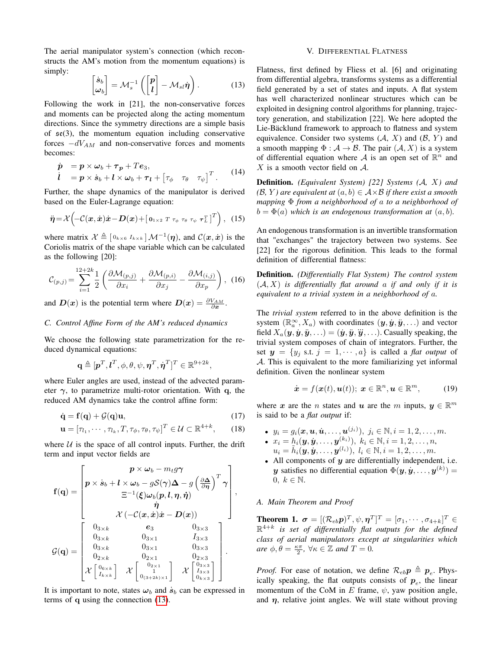The aerial manipulator system's connection (which reconstructs the AM's motion from the momentum equations) is simply:

<span id="page-3-1"></span>
$$
\begin{bmatrix} \dot{s}_b \\ \omega_b \end{bmatrix} = \mathcal{M}_s^{-1} \left( \begin{bmatrix} p \\ l \end{bmatrix} - \mathcal{M}_{sl} \dot{\eta} \right). \tag{13}
$$

Following the work in [21], the non-conservative forces and moments can be projected along the acting momentum directions. Since the symmetry directions are a simple basis of  $\mathfrak{se}(3)$ , the momentum equation including conservative forces  $-dV_{AM}$  and non-conservative forces and moments becomes:

$$
\dot{p} = p \times \omega_b + \tau_p + Te_3,\n\dot{l} = p \times \dot{s}_b + l \times \omega_b + \tau_l + [\tau_\phi \quad \tau_\theta \quad \tau_\psi]^T.
$$
\n(14)

Further, the shape dynamics of the manipulator is derived based on the Euler-Lagrange equation:

<span id="page-3-2"></span>
$$
\ddot{\boldsymbol{\eta}} = \mathcal{X} \left( -\mathcal{C}(\boldsymbol{x}, \dot{\boldsymbol{x}}) \dot{\boldsymbol{x}} - \boldsymbol{D}(\boldsymbol{x}) + \left[ \boldsymbol{0}_{1 \times 2} T \boldsymbol{\tau}_{\phi} \boldsymbol{\tau}_{\theta} \boldsymbol{\tau}_{\psi} \boldsymbol{\tau}_{L}^{T} \right]^{T} \right), \quad (15)
$$

where matrix  $\mathcal{X} \triangleq [\mathbf{0}_{k\times6} I_{k\times k}] \mathcal{M}^{-1}(\eta)$ , and  $\mathcal{C}(\mathbf{x}, \dot{\mathbf{x}})$  is the Coriolis matrix of the shape variable which can be calculated as the following [20]:

$$
\mathcal{C}_{(p,j)} = \sum_{i=1}^{12+2k} \frac{1}{2} \left( \frac{\partial \mathcal{M}_{(p,j)}}{\partial x_i} + \frac{\partial \mathcal{M}_{(p,i)}}{\partial x_j} - \frac{\partial \mathcal{M}_{(i,j)}}{\partial x_p} \right), \tag{16}
$$

and  $D(x)$  is the potential term where  $D(x) = \frac{\partial V_{AM}}{\partial x}$ .

# *C. Control Affine Form of the AM's reduced dynamics*

We choose the following state parametrization for the reduced dynamical equations:

$$
\mathbf{q} \triangleq [\mathbf{p}^T, \mathbf{l}^T, \phi, \theta, \psi, \boldsymbol{\eta}^T, \dot{\boldsymbol{\eta}}^T]^T \in \mathbb{R}^{9+2k},
$$

where Euler angles are used, instead of the advected parameter  $\gamma$ , to parametrize multi-rotor orientation. With q, the reduced AM dynamics take the control affine form:

$$
\dot{\mathbf{q}} = \mathbf{f}(\mathbf{q}) + \mathcal{G}(\mathbf{q})\mathbf{u},\tag{17}
$$

$$
\mathbf{u} = [\tau_{l_1}, \cdots, \tau_{l_k}, T, \tau_{\phi}, \tau_{\theta}, \tau_{\psi}]^T \in \mathcal{U} \subset \mathbb{R}^{4+k}, \qquad (18)
$$

where  $U$  is the space of all control inputs. Further, the drift term and input vector fields are

$$
\mathbf{f}(\mathbf{q}) = \begin{bmatrix} p \times \omega_b - m_t g \gamma \\ p \times \dot{\mathbf{s}}_b + l \times \omega_b - g \mathcal{S}(\gamma) \Delta - g \left( \frac{\partial \Delta}{\partial \eta} \right)^T \gamma \\ \Xi^{-1}(\boldsymbol{\xi}) \omega_b(p, l, \eta, \dot{\eta}) \\ \dot{\eta} \\ \chi \left( - \mathcal{C}(\mathbf{x}, \dot{\mathbf{x}}) \dot{\mathbf{x}} - \mathbf{D}(\mathbf{x}) \right) \\ 0_{3 \times k} & \mathbf{e}_3 \\ 0_{3 \times k} & 0_{3 \times 1} & I_{3 \times 3} \\ 0_{3 \times k} & 0_{3 \times 1} & 0_{3 \times 3} \\ 0_{2 \times k} & 0_{2 \times 1} & 0_{2 \times 3} \\ \chi \begin{bmatrix} 0_{6 \times k} \\ 0_{6 \times k} \\ I_{k \times k} \end{bmatrix} & \chi \begin{bmatrix} 0_{2 \times 1} \\ 0_{2 \times 1} \\ 0_{(3+2k) \times 1} \end{bmatrix} & \chi \begin{bmatrix} 0_{2 \times 3} \\ 0_{2 \times 3} \\ 0_{2 \times 3} \\ 0_{2 \times 3} \end{bmatrix}.
$$

It is important to note, states  $\omega_b$  and  $\dot{s}_b$  can be expressed in terms of q using the connection [\(13\)](#page-3-1).

#### V. DIFFERENTIAL FLATNESS

<span id="page-3-0"></span>Flatness, first defined by Fliess et al. [6] and originating from differential algebra, transforms systems as a differential field generated by a set of states and inputs. A flat system has well characterized nonlinear structures which can be exploited in designing control algorithms for planning, trajectory generation, and stabilization [22]. We here adopted the Lie-Bäcklund framework to approach to flatness and system equivalence. Consider two systems  $(A, X)$  and  $(B, Y)$  and a smooth mapping  $\Phi : \mathcal{A} \to \mathcal{B}$ . The pair  $(\mathcal{A}, X)$  is a system of differential equation where A is an open set of  $\mathbb{R}^n$  and  $X$  is a smooth vector field on  $A$ .

Definition. *(Equivalent System) [22] Systems (*A*,* X*) and*  $(\mathcal{B}, Y)$  are equivalent at  $(a, b) \in \mathcal{A} \times \mathcal{B}$  if there exist a smooth *mapping* Φ *from a neighborhood of* a *to a neighborhood of*  $b = \Phi(a)$  *which is an endogenous transformation at*  $(a, b)$ *.* 

An endogenous transformation is an invertible transformation that "exchanges" the trajectory between two systems. See [22] for the rigorous definition. This leads to the formal definition of differential flatness:

Definition. *(Differentially Flat System) The control system* (A, X) *is differentially flat around* a *if and only if it is equivalent to a trivial system in a neighborhood of* a*.*

The *trivial system* referred to in the above definition is the system  $(\mathbb{R}_{a}^{\infty}, X_{a})$  with coordinates  $(\mathbf{y}, \dot{\mathbf{y}}, \ddot{\mathbf{y}}, \ldots)$  and vector field  $X_a(y, y, y, ...)$  =  $(y, y, y, ...)$ . Casually speaking, the trivial system composes of chain of integrators. Further, the set  $y = \{y_i \text{ s.t. } j = 1, \dots, a\}$  is called a *flat output* of A. This is equivalent to the more familiarizing yet informal definition. Given the nonlinear system

$$
\dot{\boldsymbol{x}} = f(\boldsymbol{x}(t), \boldsymbol{u}(t)); \ \boldsymbol{x} \in \mathbb{R}^n, \boldsymbol{u} \in \mathbb{R}^m,
$$
 (19)

<span id="page-3-3"></span>where x are the n states and u are the m inputs,  $y \in \mathbb{R}^m$ is said to be a *flat output* if:

- $y_i = g_i(\boldsymbol{x}, \boldsymbol{u}, \dot{\boldsymbol{u}}, \dots, \boldsymbol{u}^{(j_i)}), \; j_i \in \mathbb{N}, i = 1, 2, \dots, m.$
- $x_i = h_i(\mathbf{y}, \dot{\mathbf{y}}, \dots, \mathbf{y}^{(k_i)}), \; k_i \in \mathbb{N}, i = 1, 2, \dots, n,$  $u_i = \tilde{h}_i(\boldsymbol{y}, \dot{\boldsymbol{y}}, \dots, \boldsymbol{y}^{(l_i)}), \; l_i \in \mathbb{N}, i = 1, 2, \dots, m.$
- All components of  $y$  are differentially independent, i.e. y satisfies no differential equation  $\Phi(\mathbf{y}, \dot{\mathbf{y}}, \dots, \mathbf{y}^{(k)}) =$ 0,  $k \in \mathbb{N}$ .

## *A. Main Theorem and Proof*

Theorem 1.  $\bm{\sigma} = [(\mathcal{R}_{eb}\bm{p})^T, \psi, \bm{\eta}^T]^T = [\sigma_1, \cdots, \sigma_{4+k}]^T \in$ R 4+k *is set of differentially flat outputs for the defined class of aerial manipulators except at singularities which are*  $\phi, \theta = \frac{\kappa \pi}{2}, \forall \kappa \in \mathbb{Z}$  *and*  $T = 0$ *.* 

*Proof.* For ease of notation, we define  $\mathcal{R}_{eb}p \triangleq p_e$ . Physically speaking, the flat outputs consists of  $p_e$ , the linear momentum of the CoM in E frame,  $\psi$ , yaw position angle, and  $\eta$ , relative joint angles. We will state without proving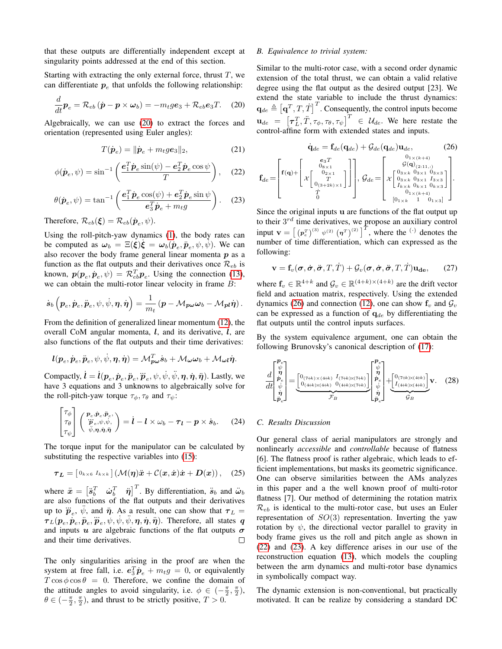that these outputs are differentially independent except at singularity points addressed at the end of this section.

Starting with extracting the only external force, thrust  $T$ , we can differentiate  $p_e$  that unfolds the following relationship:

<span id="page-4-0"></span>
$$
\frac{d}{dt}\boldsymbol{p}_e = \mathcal{R}_{eb} (\dot{\boldsymbol{p}} - \boldsymbol{p} \times \boldsymbol{\omega}_b) = -m_t g \boldsymbol{e}_3 + \mathcal{R}_{eb} \boldsymbol{e}_3 T. \tag{20}
$$

Algebraically, we can use [\(20\)](#page-4-0) to extract the forces and orientation (represented using Euler angles):

$$
T(\dot{\boldsymbol{p}}_e) = ||\dot{\boldsymbol{p}}_e + m_t g \boldsymbol{e}_3||_2, \tag{21}
$$

<span id="page-4-2"></span>
$$
\phi(\dot{\mathbf{p}}_e, \psi) = \sin^{-1}\left(\frac{\mathbf{e}_1^T \dot{\mathbf{p}}_e \sin(\psi) - \mathbf{e}_2^T \dot{\mathbf{p}}_e \cos \psi}{T}\right), \quad (22)
$$

<span id="page-4-3"></span>
$$
\theta(\dot{\mathbf{p}}_e, \psi) = \tan^{-1} \left( \frac{\boldsymbol{e}_1^T \dot{\mathbf{p}}_e \cos(\psi) + \boldsymbol{e}_2^T \dot{\mathbf{p}}_e \sin \psi}{\boldsymbol{e}_3^T \dot{\mathbf{p}}_e + m_t g} \right). \tag{23}
$$

Therefore,  $\mathcal{R}_{eb}(\boldsymbol{\xi}) = \mathcal{R}_{eb}(\boldsymbol{\dot{p}}_e, \psi)$ .

Using the roll-pitch-yaw dynamics [\(1\)](#page-1-3), the body rates can be computed as  $\omega_b = \Xi(\xi)\xi = \omega_b(p_e, \ddot{p}_e, \psi, \dot{\psi})$ . We can also recover the body frame general linear momenta  $p$  as a function as the flat outputs and their derivatives once  $\mathcal{R}_{eb}$  is known,  $p(\boldsymbol{p}_e, \dot{\boldsymbol{p}}_e, \psi) = \mathcal{R}_{eb}^T \boldsymbol{p}_e$ . Using the connection [\(13\)](#page-3-1), we can obtain the multi-rotor linear velocity in frame  $B$ :

$$
\dot{\boldsymbol{s}}_{b}\left(\boldsymbol{p}_{e},\dot{\boldsymbol{p}}_{e},\ddot{\boldsymbol{p}}_{e},\psi,\dot{\psi},\boldsymbol{\eta},\dot{\boldsymbol{\eta}}\right)=\frac{1}{m_{t}}\left(\boldsymbol{p}-\mathcal{M}_{\boldsymbol{p}\boldsymbol{\omega}}\boldsymbol{\omega}_{b}-\mathcal{M}_{\boldsymbol{pl}}\dot{\boldsymbol{\eta}}\right).
$$

From the definition of generalized linear momentum [\(12\)](#page-2-5), the overall CoM angular momenta,  $l$ , and its derivative,  $\hat{l}$ , are also functions of the flat outputs and their time derivatives:

$$
l(p_e, \dot{p}_e, \ddot{p}_e, \psi, \dot{\psi}, \eta, \dot{\eta}) = \mathcal{M}_{\boldsymbol{p}\boldsymbol{\omega}}^T \dot{s}_b + \mathcal{M}_{\boldsymbol{\omega}} \boldsymbol{\omega}_b + \mathcal{M}_{\boldsymbol{\omega}} \boldsymbol{\eta}.
$$

Compactly,  $\dot{\bm{l}} = \dot{\bm{l}}(\bm{p}_e, \dot{\bm{p}}_e, \ddot{\bm{p}}_e, \ddot{\bm{p}}_e, \psi, \dot{\psi}, \ddot{\psi}, \eta, \dot{\eta}, \ddot{\eta})$ . Lastly, we have 3 equations and 3 unknowns to algebraically solve for the roll-pitch-yaw torque  $\tau_{\phi}$ ,  $\tau_{\theta}$  and  $\tau_{\psi}$ :

<span id="page-4-4"></span>
$$
\begin{bmatrix} \tau_{\phi} \\ \tau_{\theta} \\ \tau_{\psi} \end{bmatrix} \begin{pmatrix} p_e, \dot{p}_e, \ddot{p}_e, \\ \ddot{p}_e, \psi, \dot{\psi}, \\ \ddot{\psi}, \eta, \dot{\eta}, \ddot{\eta} \end{pmatrix} = \dot{\boldsymbol{l}} - \boldsymbol{l} \times \omega_b - \tau_{\boldsymbol{l}} - \boldsymbol{p} \times \dot{\boldsymbol{s}}_b. \tag{24}
$$

The torque input for the manipulator can be calculated by substituting the respective variables into [\(15\)](#page-3-2):

<span id="page-4-5"></span>
$$
\boldsymbol{\tau}_L = \left[\begin{smallmatrix} 0_{k\times 6} & I_{k\times k} \end{smallmatrix}\right] \left(\mathcal{M}(\boldsymbol{\eta})\ddot{\boldsymbol{x}} + \mathcal{C}(\boldsymbol{x},\dot{\boldsymbol{x}})\dot{\boldsymbol{x}} + \boldsymbol{D}(\boldsymbol{x})\right), \quad (25)
$$

where  $\ddot{x} = \begin{bmatrix} \ddot{s}_b^T & \dot{\omega}_b^T & \ddot{\eta} \end{bmatrix}^T$ . By differentiation,  $\ddot{s}_b$  and  $\ddot{\omega}_b$ are also functions of the flat outputs and their derivatives up to  $\dddot{p}_e$ ,  $\ddot{\psi}$ , and  $\ddot{\eta}$ . As a result, one can show that  $\tau_L =$  $\tau_L(p_e, \dot{p}_e, \ddot{p}_e, \ddot{p}_e, \dot{p}_i, \psi, \dot{\psi}, \dot{\psi}, \eta, \dot{\eta}, \ddot{\eta})$ . Therefore, all states q and inputs  $u$  are algebraic functions of the flat outputs  $\sigma$ and their time derivatives. П

The only singularities arising in the proof are when the system at free fall, i.e.  $e_3^T \dot{p}_e + m_t g = 0$ , or equivalently  $T \cos \phi \cos \theta = 0$ . Therefore, we confine the domain of the attitude angles to avoid singularity, i.e.  $\phi \in (-\frac{\pi}{2}, \frac{\pi}{2})$ ,  $\theta \in (-\frac{\pi}{2}, \frac{\pi}{2})$ , and thrust to be strictly positive,  $T > 0$ .

#### *B. Equivalence to trivial system:*

 $\mathbf{f}_{de}$ 

Similar to the multi-rotor case, with a second order dynamic extension of the total thrust, we can obtain a valid relative degree using the flat output as the desired output [23]. We extend the state variable to include the thrust dynamics:  $\mathbf{q}_{de} \triangleq \left[\mathbf{q}^T, T, \dot{T}\right]^T$ . Consequently, the control inputs become  $\mathbf{u}_{de} = \begin{bmatrix} \tau_L^T, \ddot{T}, \tau_{\phi}, \tau_{\theta}, \tau_{\psi} \end{bmatrix}^T \in \mathcal{U}_{de}$ . We here restate the control-affine form with extended states and inputs.

<span id="page-4-1"></span>
$$
\dot{\mathbf{q}}_{de} = \mathbf{f}_{de}(\mathbf{q}_{de}) + \mathcal{G}_{de}(\mathbf{q}_{de})\mathbf{u}_{de}, \qquad (26)
$$
\n
$$
= \left[\mathbf{f}(\mathbf{q}) + \begin{bmatrix} e_3T \\ 0_{8\times 1} \\ T \\ \lambda \begin{bmatrix} 0_{2\times 1} \\ 0 \\ 0_{(3+2k)\times 1} \end{bmatrix} \end{bmatrix}\right], \mathcal{G}_{de} = \left[\begin{matrix} \mathcal{G}(\mathbf{q})_{2\times (k+4)} \\ \mathcal{G}(\mathbf{q})_{(2:11,:)} \\ \lambda \begin{bmatrix} 0_{3\times k} & 0_{3\times 1} & 0_{3\times 3} \\ 0_{3\times k} & 0_{3\times 1} & 1_{3\times 3} \\ \lambda \begin{bmatrix} 0_{3\times k} & 0_{3\times 1} & 0_{3\times 3} \\ 0_{1\times k} & 0_{k\times 1} & 0_{k\times 3} \end{bmatrix} \end{matrix}\right].
$$

Since the original inputs u are functions of the flat output up to their  $3^{rd}$  time derivatives, we propose an auxiliary control input  $\mathbf{v} = \left[ (p_e^T)^{(3)} \psi^{(2)} (p^T)^{(2)} \right]^T$ , where the <sup>(·)</sup> denotes the number of time differentiation, which can expressed as the following:

$$
\mathbf{v} = \mathbf{f}_v(\boldsymbol{\sigma}, \dot{\boldsymbol{\sigma}}, \ddot{\boldsymbol{\sigma}}, T, \dot{T}) + \mathcal{G}_v(\boldsymbol{\sigma}, \dot{\boldsymbol{\sigma}}, \ddot{\boldsymbol{\sigma}}, T, \dot{T}) \mathbf{u}_{\mathbf{de}},\qquad(27)
$$

where  $f_v \in \mathbb{R}^{4+k}$  and  $\mathcal{G}_v \in \mathbb{R}^{(4+k)\times(4+k)}$  are the drift vector field and actuation matrix, respectively. Using the extended dynamics [\(26\)](#page-4-1) and connection [\(12\)](#page-2-5), one can show  $f_v$  and  $G_v$ can be expressed as a function of  $q_{de}$  by differentiating the flat outputs until the control inputs surfaces.

By the system equivalence argument, one can obtain the following Brunovsky's canonical description of [\(17\)](#page-3-3):

<span id="page-4-6"></span>
$$
\frac{d}{dt} \begin{bmatrix} \mathbf{P}_e \\ \dot{\mathbf{p}} \\ \dot{\mathbf{p}} \\ \dot{\mathbf{p}} \\ \dot{\mathbf{p}} \\ \dot{\mathbf{p}}_e \end{bmatrix} = \underbrace{\begin{bmatrix} 0_{(7+k)\times(4+k)} & I_{(7+k)\times(7+k)} \\ 0_{(4+k)\times(4+k)} & 0_{(4+k)\times(7+k)} \end{bmatrix}}_{\mathcal{F}_B} \begin{bmatrix} \mathbf{P}_e \\ \mathbf{p} \\ \dot{\mathbf{p}}_e \\ \dot{\mathbf{p}} \\ \dot{\mathbf{p}}_e \end{bmatrix} + \underbrace{\begin{bmatrix} 0_{(7+k)\times(4+k)} \\ I_{(4+k)\times(4+k)} \end{bmatrix}}_{\mathcal{G}_B} \mathbf{v}. \tag{28}
$$

## *C. Results Discussion*

Our general class of aerial manipulators are strongly and nonlinearly *accessible* and *controllable* because of flatness [6]. The flatness proof is rather algebraic, which leads to efficient implementations, but masks its geometric significance. One can observe similarities between the AMs analyzes in this paper and a the well known proof of multi-rotor flatness [7]. Our method of determining the rotation matrix  $\mathcal{R}_{eb}$  is identical to the multi-rotor case, but uses an Euler representation of  $SO(3)$  representation. Inverting the yaw rotation by  $\psi$ , the directional vector parallel to gravity in body frame gives us the roll and pitch angle as shown in [\(22\)](#page-4-2) and [\(23\)](#page-4-3). A key difference arises in our use of the reconstruction equation [\(13\)](#page-3-1), which models the coupling between the arm dynamics and multi-rotor base dynamics in symbolically compact way.

The dynamic extension is non-conventional, but practically motivated. It can be realize by considering a standard DC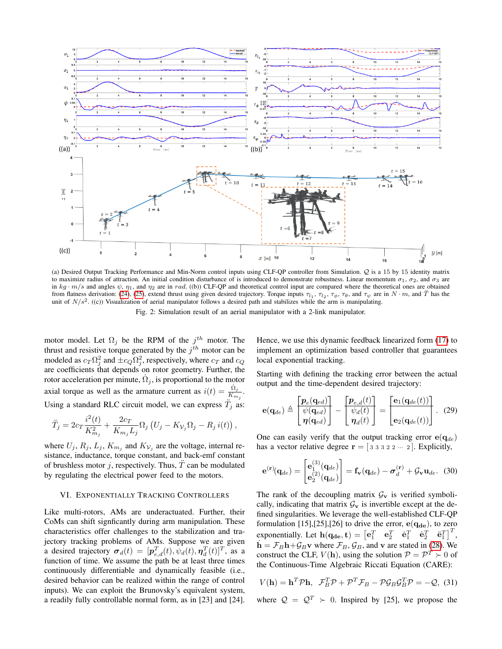<span id="page-5-1"></span>

(a) Desired Output Tracking Performance and Min-Norm control inputs using CLF-QP controller from Simulation. Q is a 15 by 15 identity matrix to maximize radius of attraction. An initial condition disturbance of is introduced to demonstrate robustness. Linear momentum  $\sigma_1$ ,  $\sigma_2$ , and  $\sigma_3$  are in  $kg \cdot m/s$  and angles  $\psi$ ,  $\eta_1$ , and  $\eta_2$  are in rad. ((b)) CLF-QP and theoretical control input are compared where the theoretical ones are obtained from flatness derivation: [\(24\)](#page-4-4), [\(25\)](#page-4-5), extend thrust using given desired trajectory. Torque inputs  $\tau_{l_1}$ ,  $\tau_{l_2}$ ,  $\tau_{\phi}$ ,  $\tau_{\theta}$ , and  $\tau_{\psi}$  are in  $N \cdot m$ , and  $\ddot{T}$  has the unit of  $N/s^2$ . ((c)) Visualization of aerial manipulator follows a desired path and stabilizes while the arm is manipulating.

Fig. 2: Simulation result of an aerial manipulator with a 2-link manipulator.

motor model. Let  $\Omega_j$  be the RPM of the  $j^{th}$  motor. The thrust and resistive torque generated by the  $j<sup>th</sup>$  motor can be modeled as  $c_T \Omega_j^2$  and  $\pm c_Q \Omega_j^2$ , respectively, where  $c_T$  and  $c_Q$ are coefficients that depends on rotor geometry. Further, the rotor acceleration per minute,  $\dot{\Omega}_j$ , is proportional to the motor axial torque as well as the armature current as  $i(t) = \frac{\dot{\Omega}_j}{K_{m_j}}$ . Using a standard RLC circuit model, we can express  $\ddot{T}_j$  as:

$$
\ddot{T}_j = 2c_T \frac{i^2(t)}{K_{m_j}^2} + \frac{2c_T}{K_{m_j}L_j} \Omega_j (U_j - K_{\mathcal{V}_j} \Omega_j - R_j i(t)),
$$

where  $U_j$ ,  $R_j$ ,  $L_j$ ,  $K_{m_j}$  and  $K_{\mathcal{V}_j}$  are the voltage, internal resistance, inductance, torque constant, and back-emf constant of brushless motor j, respectively. Thus,  $\ddot{T}$  can be modulated by regulating the electrical power feed to the motors.

#### <span id="page-5-0"></span>VI. EXPONENTIALLY TRACKING CONTROLLERS

Like multi-rotors, AMs are underactuated. Further, their CoMs can shift signficantly during arm manipulation. These characteristics offer challenges to the stabilization and trajectory tracking problems of AMs. Suppose we are given a desired trajectory  $\boldsymbol{\sigma}_d(t) = [\boldsymbol{p}_{e,d}^T(t), \psi_d(t), \boldsymbol{\eta}_d^T(t)]^T$ , as a function of time. We assume the path be at least three times continuously differentiable and dynamically feasible (i.e., desired behavior can be realized within the range of control inputs). We can exploit the Brunovsky's equivalent system, a readily fully controllable normal form, as in [23] and [24]. Hence, we use this dynamic feedback linearized form [\(17\)](#page-3-3) to implement an optimization based controller that guarantees local exponential tracking.

Starting with defining the tracking error between the actual output and the time-dependent desired trajectory:

$$
\mathbf{e}(\mathbf{q}_{de}) \triangleq \begin{bmatrix} \mathbf{p}_e(\mathbf{q}_{ed}) \\ \psi(\mathbf{q}_{ed}) \\ \eta(\mathbf{q}_{ed}) \end{bmatrix} - \begin{bmatrix} \mathbf{p}_{e,d}(t) \\ \psi_d(t) \\ \eta_d(t) \end{bmatrix} = \begin{bmatrix} \mathbf{e}_1(\mathbf{q}_{de}(t)) \\ \mathbf{e}_2(\mathbf{q}_{de}(t)) \end{bmatrix} . \tag{29}
$$

One can easily verify that the output tracking error  $e(q_{de})$ has a vector relative degree  $\mathbf{r} = [3 \ 3 \ 3 \ 2 \ 2 \ \cdots \ 2]$ . Explicitly,

$$
\mathbf{e}^{(\mathbf{r})}(\mathbf{q}_{de}) = \begin{bmatrix} \mathbf{e}_1^{(3)}(\mathbf{q}_{de}) \\ \mathbf{e}_2^{(2)}(\mathbf{q}_{de}) \end{bmatrix} = \mathbf{f}_{\mathbf{v}}(\mathbf{q}_{de}) - \boldsymbol{\sigma}_d^{(\mathbf{r})} + \mathcal{G}_{\mathbf{v}} \mathbf{u}_{de}. \tag{30}
$$

The rank of the decoupling matrix  $G_v$  is verified symbolically, indicating that matrix  $\mathcal{G}_{v}$  is invertible except at the defined singularities. We leverage the well-established CLF-QP formulation [15],[25],[26] to drive the error,  $e(q_{de})$ , to zero exponentially. Let  $\mathbf{h}(\mathbf{q_{de}}, \mathbf{t}) = \begin{bmatrix} \mathbf{e}_1^T & \mathbf{e}_2^T & \dot{\mathbf{e}}_1^T & \dot{\mathbf{e}}_2^T & \ddot{\mathbf{e}}_1^T \end{bmatrix}^T$ ,  $h = \mathcal{F}_B h + \mathcal{G}_B v$  where  $\mathcal{F}_B$ ,  $\mathcal{G}_B$ , and v are stated in [\(28\)](#page-4-6). We construct the CLF,  $V(\mathbf{h})$ , using the solution  $P = P^T \succ 0$  of the Continuous-Time Algebraic Riccati Equation (CARE):

$$
V(\mathbf{h}) = \mathbf{h}^T \mathcal{P} \mathbf{h}, \ \ \mathcal{F}_B^T \mathcal{P} + \mathcal{P}^T \mathcal{F}_B - \mathcal{P} \mathcal{G}_B \mathcal{G}_B^T \mathcal{P} = -\mathcal{Q}, \ (31)
$$

where  $Q = Q^T \succ 0$ . Inspired by [25], we propose the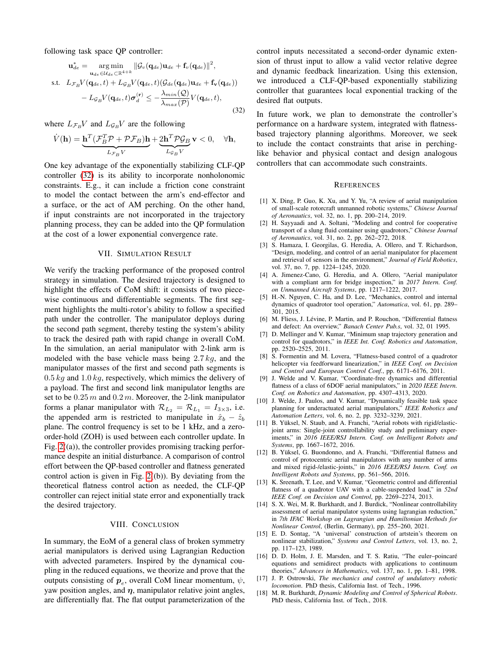following task space QP controller:

$$
\mathbf{u}_{de}^{*} = \underset{\mathbf{u}_{de} \in U_{de}(\mathbf{q}_{de})}{\arg \min} ||\mathcal{G}_{v}(\mathbf{q}_{de})\mathbf{u}_{de} + \mathbf{f}_{v}(\mathbf{q}_{de})||^{2},
$$
  
s.t.  $L_{\mathcal{F}_{B}}V(\mathbf{q}_{de}, t) + L_{\mathcal{G}_{B}}V(\mathbf{q}_{de}, t)(\mathcal{G}_{de}(\mathbf{q}_{de})\mathbf{u}_{de} + \mathbf{f}_{v}(\mathbf{q}_{de}))$ 
$$
- L_{\mathcal{G}_{B}}V(\mathbf{q}_{de}, t)\boldsymbol{\sigma}_{d}^{(r)} \leq -\frac{\lambda_{min}(\mathcal{Q})}{\lambda_{max}(\mathcal{P})}V(\mathbf{q}_{de}, t),
$$
(32)

where  $L_{\mathcal{F}_B}V$  and  $L_{\mathcal{G}_B}V$  are the following

$$
\dot{V}(\mathbf{h}) = \underbrace{\mathbf{h}^T (\mathcal{F}_B^T \mathcal{P} + \mathcal{P} \mathcal{F}_B) \mathbf{h}}_{L_{\mathcal{F}_B} V} + \underbrace{2 \mathbf{h}^T \mathcal{P} \mathcal{G}_B}_{L_{\mathcal{G}_B} V} \mathbf{v} < 0, \quad \forall \mathbf{h},
$$

One key advantage of the exponentially stabilizing CLF-QP controller [\(32\)](#page-6-1) is its ability to incorporate nonholonomic constraints. E.g., it can include a friction cone constraint to model the contact between the arm's end-effector and a surface, or the act of AM perching. On the other hand, if input constraints are not incorporated in the trajectory planning process, they can be added into the QP formulation at the cost of a lower exponential convergence rate.

#### VII. SIMULATION RESULT

<span id="page-6-0"></span>We verify the tracking performance of the proposed control strategy in simulation. The desired trajectory is designed to highlight the effects of CoM shift: it consists of two piecewise continuous and differentiable segments. The first segment highlights the multi-rotor's ability to follow a specified path under the controller. The manipulator deploys during the second path segment, thereby testing the system's ability to track the desired path with rapid change in overall CoM. In the simulation, an aerial manipulator with 2-link arm is modeled with the base vehicle mass being  $2.7 kg$ , and the manipulator masses of the first and second path segments is  $0.5$  kg and  $1.0$  kg, respectively, which mimics the delivery of a payload. The first and second link manipulator lengths are set to be  $0.25 m$  and  $0.2 m$ . Moreover, the 2-link manipulator forms a planar manipulator with  $\mathcal{R}_{L_2} = \mathcal{R}_{L_1} = I_{3 \times 3}$ , i.e. the appended arm is restricted to manipulate in  $\hat{x}_b - \hat{z}_b$ plane. The control frequency is set to be 1 kHz, and a zeroorder-hold (ZOH) is used between each controller update. In Fig.  $2((a))$ , the controller provides promising tracking performance despite an initial disturbance. A comparison of control effort between the QP-based controller and flatness generated control action is given in Fig.  $2((b))$ . By deviating from the theoretical flatness control action as needed, the CLF-QP controller can reject initial state error and exponentially track the desired trajectory.

#### VIII. CONCLUSION

In summary, the EoM of a general class of broken symmetry aerial manipulators is derived using Lagrangian Reduction with advected parameters. Inspired by the dynamical coupling in the reduced equations, we theorize and prove that the outputs consisting of  $p_e$ , overall CoM linear momentum,  $\psi$ , yaw position angles, and  $\eta$ , manipulator relative joint angles, are differentially flat. The flat output parameterization of the control inputs necessitated a second-order dynamic extension of thrust input to allow a valid vector relative degree and dynamic feedback linearization. Using this extension, we introduced a CLF-QP-based exponentially stabilizing controller that guarantees local exponential tracking of the desired flat outputs.

<span id="page-6-1"></span>In future work, we plan to demonstrate the controller's performance on a hardware system, integrated with flatnessbased trajectory planning algorithms. Moreover, we seek to include the contact constraints that arise in perchinglike behavior and physical contact and design analogous controllers that can accommodate such constraints.

## **REFERENCES**

- [1] X. Ding, P. Guo, K. Xu, and Y. Yu, "A review of aerial manipulation of small-scale rotorcraft unmanned robotic systems," *Chinese Journal of Aeronautics*, vol. 32, no. 1, pp. 200–214, 2019.
- [2] H. Sayyaadi and A. Soltani, "Modeling and control for cooperative transport of a slung fluid container using quadrotors," *Chinese Journal of Aeronautics*, vol. 31, no. 2, pp. 262–272, 2018.
- [3] S. Hamaza, I. Georgilas, G. Heredia, A. Ollero, and T. Richardson, "Design, modeling, and control of an aerial manipulator for placement and retrieval of sensors in the environment," *Journal of Field Robotics*, vol. 37, no. 7, pp. 1224–1245, 2020.
- [4] A. Jimenez-Cano, G. Heredia, and A. Ollero, "Aerial manipulator with a compliant arm for bridge inspection," in *2017 Intern. Conf. on Unmanned Aircraft Systems*, pp. 1217–1222, 2017.
- [5] H.-N. Nguyen, C. Ha, and D. Lee, "Mechanics, control and internal dynamics of quadrotor tool operation," *Automatica*, vol. 61, pp. 289– 301, 2015.
- [6] M. Fliess, J. Lévine, P. Martin, and P. Rouchon, "Differential flatness and defect: An overview," *Banach Center Pub.s*, vol. 32, 01 1995.
- [7] D. Mellinger and V. Kumar, "Minimum snap trajectory generation and control for quadrotors," in *IEEE Int. Conf. Robotics and Automation*, pp. 2520–2525, 2011.
- [8] S. Formentin and M. Lovera, "Flatness-based control of a quadrotor helicopter via feedforward linearization," in *IEEE Conf. on Decision and Control and European Control Conf.*, pp. 6171–6176, 2011.
- [9] J. Welde and V. Kumar, "Coordinate-free dynamics and differential flatness of a class of 6DOF aerial manipulators," in *2020 IEEE Intern. Conf. on Robotics and Automation*, pp. 4307–4313, 2020.
- [10] J. Welde, J. Paulos, and V. Kumar, "Dynamically feasible task space planning for underactuated aerial manipulators," *IEEE Robotics and Automation Letters*, vol. 6, no. 2, pp. 3232–3239, 2021.
- [11] B. Yüksel, N. Staub, and A. Franchi, "Aerial robots with rigid/elasticjoint arms: Single-joint controllability study and preliminary experiments," in *2016 IEEE/RSJ Intern. Conf. on Intelligent Robots and Systems*, pp. 1667–1672, 2016.
- [12] B. Yüksel, G. Buondonno, and A. Franchi, "Differential flatness and control of protocentric aerial manipulators with any number of arms and mixed rigid-/elastic-joints," in *2016 IEEE/RSJ Intern. Conf. on Intelligent Robots and Systems*, pp. 561–566, 2016.
- [13] K. Sreenath, T. Lee, and V. Kumar, "Geometric control and differential flatness of a quadrotor UAV with a cable-suspended load," in *52nd IEEE Conf. on Decision and Control*, pp. 2269–2274, 2013.
- [14] S. X. Wei, M. R. Burkhardt, and J. Burdick, "Nonlinear controllability assessment of aerial manipulator systems using lagrangian reduction," in *7th IFAC Workshop on Lagrangian and Hamiltonian Methods for Nonlinear Control*, (Berlin, Germany), pp. 255–260, 2021.
- [15] E. D. Sontag, "A 'universal' construction of artstein's theorem on nonlinear stabilization," *Systems and Control Letters*, vol. 13, no. 2, pp. 117–123, 1989.
- [16] D. D. Holm, J. E. Marsden, and T. S. Ratiu, "The euler-poincaré equations and semidirect products with applications to continuum theories," *Advances in Mathematics*, vol. 137, no. 1, pp. 1–81, 1998.
- [17] J. P. Ostrowski, *The mechanics and control of undulatory robotic locomotion*. PhD thesis, California Inst. of Tech., 1996.
- [18] M. R. Burkhardt, *Dynamic Modeling and Control of Spherical Robots*. PhD thesis, California Inst. of Tech., 2018.